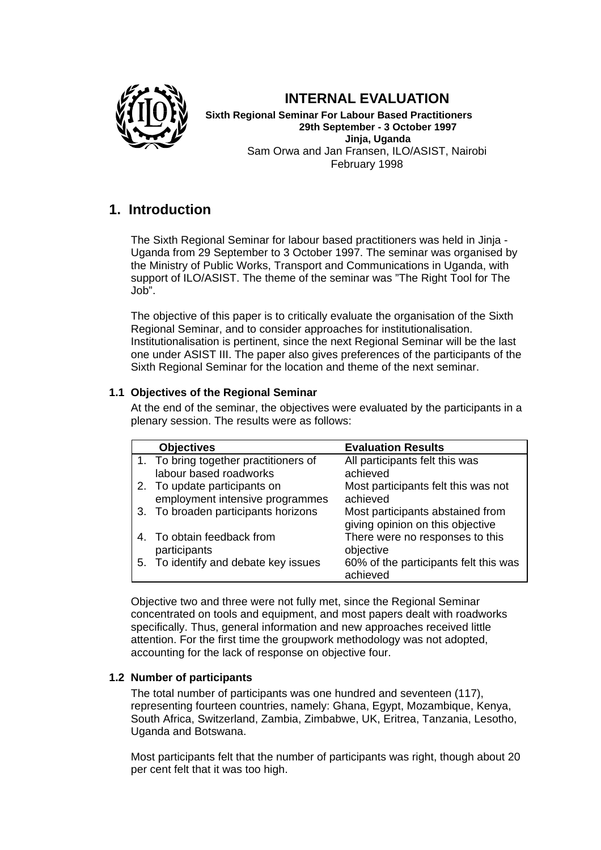

# **INTERNAL EVALUATION**

**Sixth Regional Seminar For Labour Based Practitioners 29th September - 3 October 1997 Jinja, Uganda** Sam Orwa and Jan Fransen, ILO/ASIST, Nairobi February 1998

# **1. Introduction**

The Sixth Regional Seminar for labour based practitioners was held in Jinja - Uganda from 29 September to 3 October 1997. The seminar was organised by the Ministry of Public Works, Transport and Communications in Uganda, with support of ILO/ASIST. The theme of the seminar was "The Right Tool for The Job".

The objective of this paper is to critically evaluate the organisation of the Sixth Regional Seminar, and to consider approaches for institutionalisation. Institutionalisation is pertinent, since the next Regional Seminar will be the last one under ASIST III. The paper also gives preferences of the participants of the Sixth Regional Seminar for the location and theme of the next seminar.

# **1.1 Objectives of the Regional Seminar**

At the end of the seminar, the objectives were evaluated by the participants in a plenary session. The results were as follows:

|    | <b>Objectives</b>                     | <b>Evaluation Results</b>             |
|----|---------------------------------------|---------------------------------------|
|    | 1. To bring together practitioners of | All participants felt this was        |
|    | labour based roadworks                | achieved                              |
|    | 2. To update participants on          | Most participants felt this was not   |
|    | employment intensive programmes       | achieved                              |
|    | 3. To broaden participants horizons   | Most participants abstained from      |
|    |                                       | giving opinion on this objective      |
|    | 4. To obtain feedback from            | There were no responses to this       |
|    | participants                          | objective                             |
| 5. | To identify and debate key issues     | 60% of the participants felt this was |
|    |                                       | achieved                              |

Objective two and three were not fully met, since the Regional Seminar concentrated on tools and equipment, and most papers dealt with roadworks specifically. Thus, general information and new approaches received little attention. For the first time the groupwork methodology was not adopted, accounting for the lack of response on objective four.

# **1.2 Number of participants**

The total number of participants was one hundred and seventeen (117), representing fourteen countries, namely: Ghana, Egypt, Mozambique, Kenya, South Africa, Switzerland, Zambia, Zimbabwe, UK, Eritrea, Tanzania, Lesotho, Uganda and Botswana.

Most participants felt that the number of participants was right, though about 20 per cent felt that it was too high.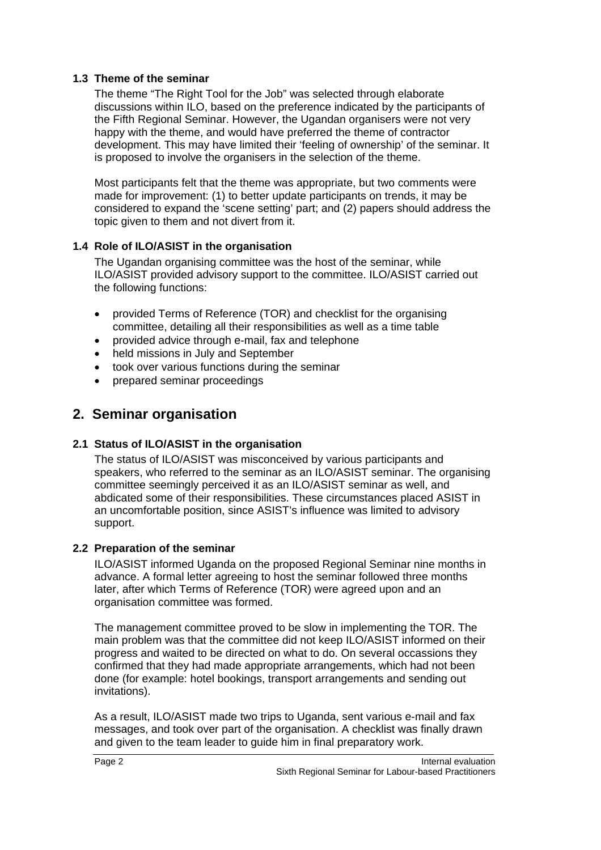# **1.3 Theme of the seminar**

The theme "The Right Tool for the Job" was selected through elaborate discussions within ILO, based on the preference indicated by the participants of the Fifth Regional Seminar. However, the Ugandan organisers were not very happy with the theme, and would have preferred the theme of contractor development. This may have limited their 'feeling of ownership' of the seminar. It is proposed to involve the organisers in the selection of the theme.

Most participants felt that the theme was appropriate, but two comments were made for improvement: (1) to better update participants on trends, it may be considered to expand the 'scene setting' part; and (2) papers should address the topic given to them and not divert from it.

# **1.4 Role of ILO/ASIST in the organisation**

The Ugandan organising committee was the host of the seminar, while ILO/ASIST provided advisory support to the committee. ILO/ASIST carried out the following functions:

- provided Terms of Reference (TOR) and checklist for the organising committee, detailing all their responsibilities as well as a time table
- provided advice through e-mail, fax and telephone
- held missions in July and September
- took over various functions during the seminar
- prepared seminar proceedings

# **2. Seminar organisation**

# **2.1 Status of ILO/ASIST in the organisation**

The status of ILO/ASIST was misconceived by various participants and speakers, who referred to the seminar as an ILO/ASIST seminar. The organising committee seemingly perceived it as an ILO/ASIST seminar as well, and abdicated some of their responsibilities. These circumstances placed ASIST in an uncomfortable position, since ASIST's influence was limited to advisory support.

# **2.2 Preparation of the seminar**

ILO/ASIST informed Uganda on the proposed Regional Seminar nine months in advance. A formal letter agreeing to host the seminar followed three months later, after which Terms of Reference (TOR) were agreed upon and an organisation committee was formed.

The management committee proved to be slow in implementing the TOR. The main problem was that the committee did not keep ILO/ASIST informed on their progress and waited to be directed on what to do. On several occassions they confirmed that they had made appropriate arrangements, which had not been done (for example: hotel bookings, transport arrangements and sending out invitations).

As a result, ILO/ASIST made two trips to Uganda, sent various e-mail and fax messages, and took over part of the organisation. A checklist was finally drawn and given to the team leader to guide him in final preparatory work.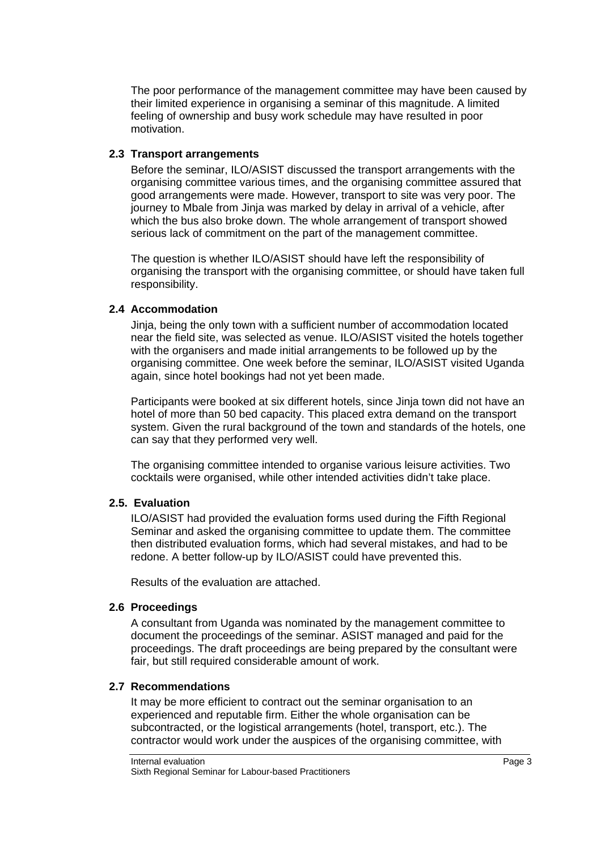The poor performance of the management committee may have been caused by their limited experience in organising a seminar of this magnitude. A limited feeling of ownership and busy work schedule may have resulted in poor motivation.

### **2.3 Transport arrangements**

Before the seminar, ILO/ASIST discussed the transport arrangements with the organising committee various times, and the organising committee assured that good arrangements were made. However, transport to site was very poor. The journey to Mbale from Jinja was marked by delay in arrival of a vehicle, after which the bus also broke down. The whole arrangement of transport showed serious lack of commitment on the part of the management committee.

The question is whether ILO/ASIST should have left the responsibility of organising the transport with the organising committee, or should have taken full responsibility.

### **2.4 Accommodation**

Jinja, being the only town with a sufficient number of accommodation located near the field site, was selected as venue. ILO/ASIST visited the hotels together with the organisers and made initial arrangements to be followed up by the organising committee. One week before the seminar, ILO/ASIST visited Uganda again, since hotel bookings had not yet been made.

Participants were booked at six different hotels, since Jinja town did not have an hotel of more than 50 bed capacity. This placed extra demand on the transport system. Given the rural background of the town and standards of the hotels, one can say that they performed very well.

The organising committee intended to organise various leisure activities. Two cocktails were organised, while other intended activities didn't take place.

#### **2.5. Evaluation**

ILO/ASIST had provided the evaluation forms used during the Fifth Regional Seminar and asked the organising committee to update them. The committee then distributed evaluation forms, which had several mistakes, and had to be redone. A better follow-up by ILO/ASIST could have prevented this.

Results of the evaluation are attached.

#### **2.6 Proceedings**

A consultant from Uganda was nominated by the management committee to document the proceedings of the seminar. ASIST managed and paid for the proceedings. The draft proceedings are being prepared by the consultant were fair, but still required considerable amount of work.

#### **2.7 Recommendations**

It may be more efficient to contract out the seminar organisation to an experienced and reputable firm. Either the whole organisation can be subcontracted, or the logistical arrangements (hotel, transport, etc.). The contractor would work under the auspices of the organising committee, with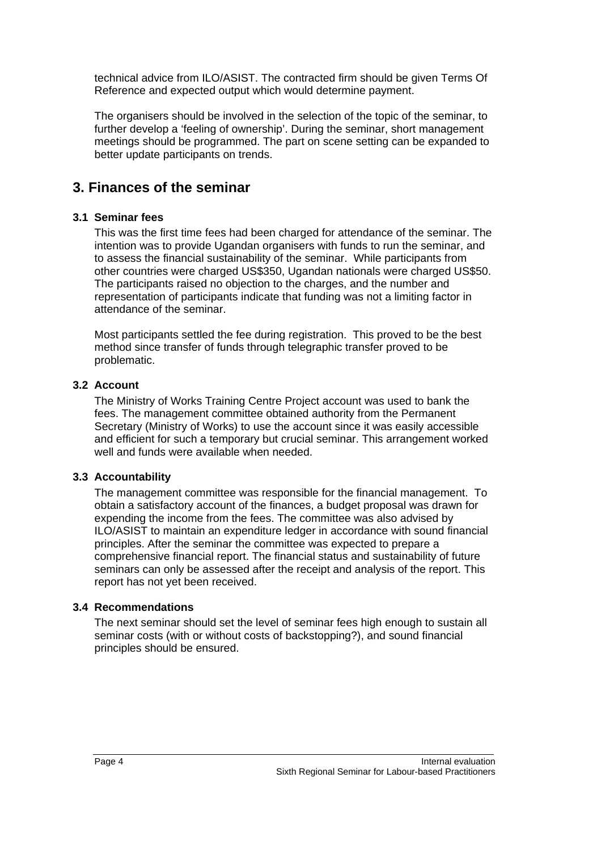technical advice from ILO/ASIST. The contracted firm should be given Terms Of Reference and expected output which would determine payment.

The organisers should be involved in the selection of the topic of the seminar, to further develop a 'feeling of ownership'. During the seminar, short management meetings should be programmed. The part on scene setting can be expanded to better update participants on trends.

# **3. Finances of the seminar**

# **3.1 Seminar fees**

This was the first time fees had been charged for attendance of the seminar. The intention was to provide Ugandan organisers with funds to run the seminar, and to assess the financial sustainability of the seminar. While participants from other countries were charged US\$350, Ugandan nationals were charged US\$50. The participants raised no objection to the charges, and the number and representation of participants indicate that funding was not a limiting factor in attendance of the seminar.

Most participants settled the fee during registration. This proved to be the best method since transfer of funds through telegraphic transfer proved to be problematic.

# **3.2 Account**

The Ministry of Works Training Centre Project account was used to bank the fees. The management committee obtained authority from the Permanent Secretary (Ministry of Works) to use the account since it was easily accessible and efficient for such a temporary but crucial seminar. This arrangement worked well and funds were available when needed.

# **3.3 Accountability**

The management committee was responsible for the financial management. To obtain a satisfactory account of the finances, a budget proposal was drawn for expending the income from the fees. The committee was also advised by ILO/ASIST to maintain an expenditure ledger in accordance with sound financial principles. After the seminar the committee was expected to prepare a comprehensive financial report. The financial status and sustainability of future seminars can only be assessed after the receipt and analysis of the report. This report has not yet been received.

# **3.4 Recommendations**

The next seminar should set the level of seminar fees high enough to sustain all seminar costs (with or without costs of backstopping?), and sound financial principles should be ensured.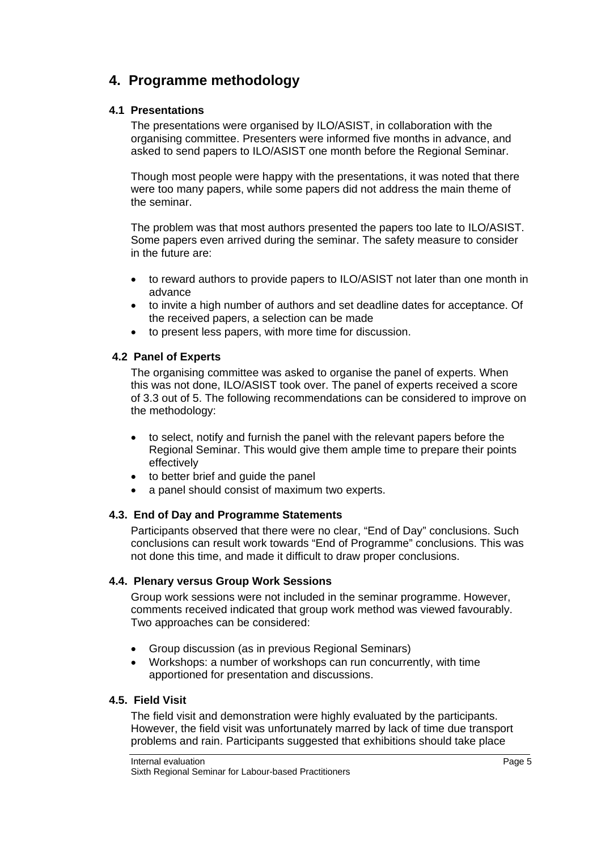# **4. Programme methodology**

### **4.1 Presentations**

The presentations were organised by ILO/ASIST, in collaboration with the organising committee. Presenters were informed five months in advance, and asked to send papers to ILO/ASIST one month before the Regional Seminar.

Though most people were happy with the presentations, it was noted that there were too many papers, while some papers did not address the main theme of the seminar.

The problem was that most authors presented the papers too late to ILO/ASIST. Some papers even arrived during the seminar. The safety measure to consider in the future are:

- to reward authors to provide papers to ILO/ASIST not later than one month in advance
- to invite a high number of authors and set deadline dates for acceptance. Of the received papers, a selection can be made
- to present less papers, with more time for discussion.

### **4.2 Panel of Experts**

The organising committee was asked to organise the panel of experts. When this was not done, ILO/ASIST took over. The panel of experts received a score of 3.3 out of 5. The following recommendations can be considered to improve on the methodology:

- to select, notify and furnish the panel with the relevant papers before the Regional Seminar. This would give them ample time to prepare their points effectively
- to better brief and quide the panel
- a panel should consist of maximum two experts.

# **4.3. End of Day and Programme Statements**

Participants observed that there were no clear, "End of Day" conclusions. Such conclusions can result work towards "End of Programme" conclusions. This was not done this time, and made it difficult to draw proper conclusions.

# **4.4. Plenary versus Group Work Sessions**

Group work sessions were not included in the seminar programme. However, comments received indicated that group work method was viewed favourably. Two approaches can be considered:

- Group discussion (as in previous Regional Seminars)
- Workshops: a number of workshops can run concurrently, with time apportioned for presentation and discussions.

### **4.5. Field Visit**

The field visit and demonstration were highly evaluated by the participants. However, the field visit was unfortunately marred by lack of time due transport problems and rain. Participants suggested that exhibitions should take place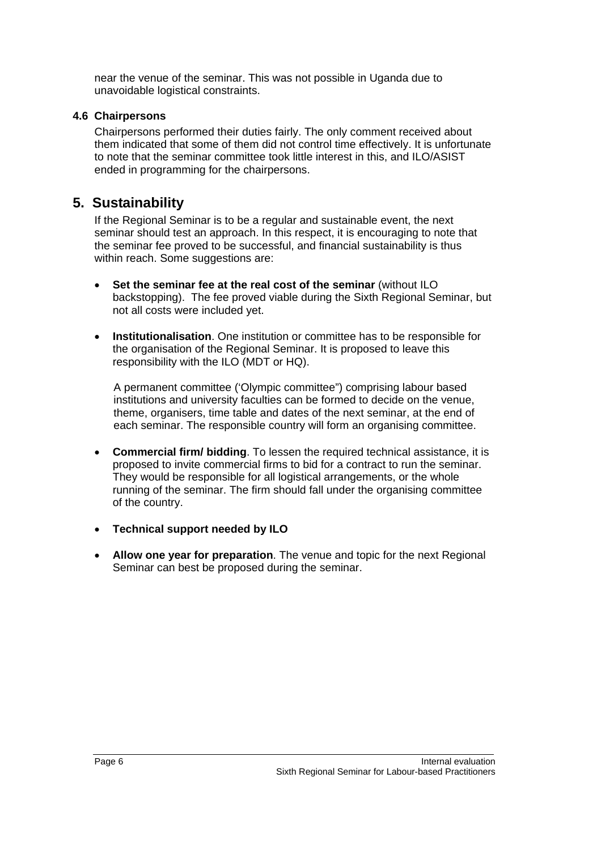near the venue of the seminar. This was not possible in Uganda due to unavoidable logistical constraints.

### **4.6 Chairpersons**

Chairpersons performed their duties fairly. The only comment received about them indicated that some of them did not control time effectively. It is unfortunate to note that the seminar committee took little interest in this, and ILO/ASIST ended in programming for the chairpersons.

# **5. Sustainability**

If the Regional Seminar is to be a regular and sustainable event, the next seminar should test an approach. In this respect, it is encouraging to note that the seminar fee proved to be successful, and financial sustainability is thus within reach. Some suggestions are:

- **Set the seminar fee at the real cost of the seminar** (without ILO backstopping). The fee proved viable during the Sixth Regional Seminar, but not all costs were included yet.
- **Institutionalisation**. One institution or committee has to be responsible for the organisation of the Regional Seminar. It is proposed to leave this responsibility with the ILO (MDT or HQ).

A permanent committee ('Olympic committee") comprising labour based institutions and university faculties can be formed to decide on the venue, theme, organisers, time table and dates of the next seminar, at the end of each seminar. The responsible country will form an organising committee.

- **Commercial firm/ bidding**. To lessen the required technical assistance, it is proposed to invite commercial firms to bid for a contract to run the seminar. They would be responsible for all logistical arrangements, or the whole running of the seminar. The firm should fall under the organising committee of the country.
- **Technical support needed by ILO**
- **Allow one year for preparation**. The venue and topic for the next Regional Seminar can best be proposed during the seminar.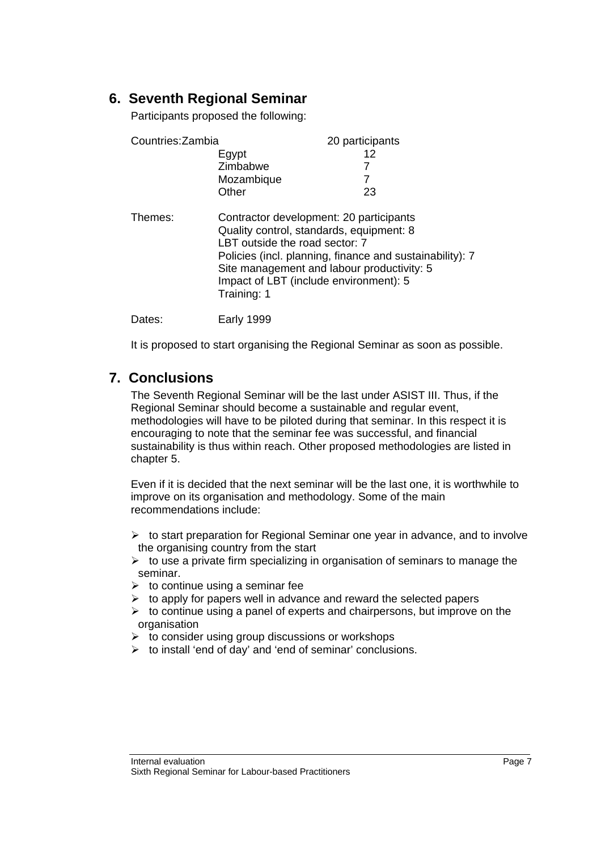# **6. Seventh Regional Seminar**

Participants proposed the following:

| Countries: Zambia |             | 20 participants                                                                                                                                                                                                                                                           |  |
|-------------------|-------------|---------------------------------------------------------------------------------------------------------------------------------------------------------------------------------------------------------------------------------------------------------------------------|--|
|                   | Egypt       | 12                                                                                                                                                                                                                                                                        |  |
|                   | Zimbabwe    |                                                                                                                                                                                                                                                                           |  |
|                   | Mozambique  | 7                                                                                                                                                                                                                                                                         |  |
|                   | Other       | 23                                                                                                                                                                                                                                                                        |  |
| Themes:           | Training: 1 | Contractor development: 20 participants<br>Quality control, standards, equipment: 8<br>LBT outside the road sector: 7<br>Policies (incl. planning, finance and sustainability): 7<br>Site management and labour productivity: 5<br>Impact of LBT (include environment): 5 |  |
| Dates:            | Early 1999  |                                                                                                                                                                                                                                                                           |  |

It is proposed to start organising the Regional Seminar as soon as possible.

# **7. Conclusions**

The Seventh Regional Seminar will be the last under ASIST III. Thus, if the Regional Seminar should become a sustainable and regular event, methodologies will have to be piloted during that seminar. In this respect it is encouraging to note that the seminar fee was successful, and financial sustainability is thus within reach. Other proposed methodologies are listed in chapter 5.

Even if it is decided that the next seminar will be the last one, it is worthwhile to improve on its organisation and methodology. Some of the main recommendations include:

- $\triangleright$  to start preparation for Regional Seminar one year in advance, and to involve the organising country from the start
- $\triangleright$  to use a private firm specializing in organisation of seminars to manage the seminar.
- $\triangleright$  to continue using a seminar fee
- $\triangleright$  to apply for papers well in advance and reward the selected papers
- $\triangleright$  to continue using a panel of experts and chairpersons, but improve on the organisation
- $\triangleright$  to consider using group discussions or workshops
- $\triangleright$  to install 'end of day' and 'end of seminar' conclusions.